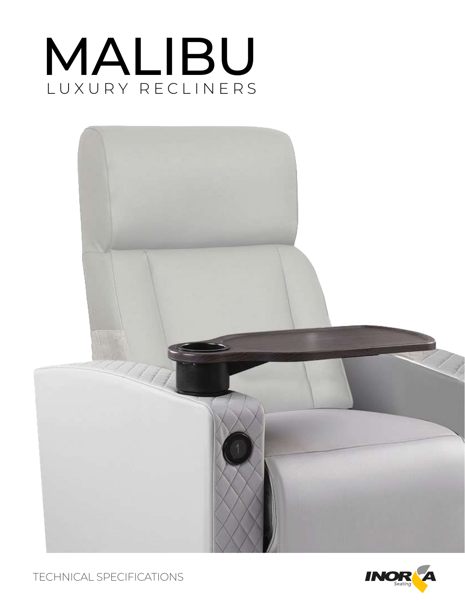# MALIBU LUXURY RECLINERS



TECHNICAL SPECIFICATIONS

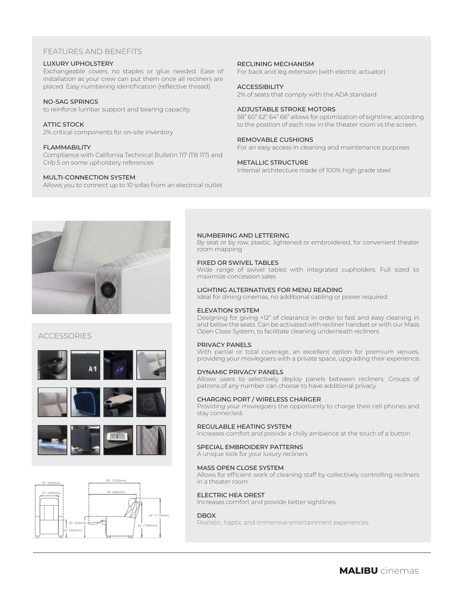# FEATURES AND BENEFITS

#### LUXURY UPHOLSTERY

Exchangeable covers, no staples or glue needed. Ease of installation as your crew can put them once all recliners are placed. Easy numbering identification (reflective thread)

#### NO-SAG SPRINGS

to reinforce lumbar support and bearing capacity.

#### ATTIC STOCK

2% critical components for on-site inventory

#### FLAMMABILITY

Compliance with California Technical Bulletin 117 (TB 117) and Crib 5 on some upholstery references

#### MULTI-CONNECTION SYSTEM

Allows you to connect up to 10 sofas from an electrical outlet

#### RECLINING MECHANISM

For back and leg extension (with electric actuator)

#### **ACCESSIBILITY**

2% of seats that comply with the ADA standard

#### ADJUSTABLE STROKE MOTORS

58" 60" 62" 64" 66" allows for optimization of sightline, according to the position of each row in the theater room vs the screen.

#### REMOVABLE CUSHIONS

For an easy access in cleaning and maintenance purposes

#### METALLIC STRUCTURE

Internal architecture made of 100% high grade steel



# ACCESSORIES







#### NUMBERING AND LETTERING

By seat or by row, plastic, lightened or embroidered, for convenient theater room mapping

#### FIXED OR SWIVEL TABLES

Wide range of swivel tables with integrated cupholders. Full sized to maximize concession sales

#### LIGHTING ALTERNATIVES FOR MENU READING

Ideal for dining cinemas, no additional cabling or power required.

#### ELEVATION SYSTEM

Designing for giving +12" of clearance in order to fast and easy cleaning in and below the seats. Can be activated with recliner handset or with our Mass Open Close System, to facilitate cleaning underneath recliners

#### PRIVACY PANELS

With partial or total coverage, an excellent option for premium venues, providing your moviegoers with a private space, upgrading their experience.

#### DYNAMIC PRIVACY PANELS

Allows users to selectively deploy panels between recliners. Groups of patrons of any number can choose to have additional privacy.

#### CHARGING PORT / WIRELESS CHARGER

Providing your moviegoers the opportunity to charge their cell phones and stay connected.

#### REGULABLE HEATING SYSTEM

Increases comfort and provide a chilly ambience at the touch of a button

#### SPECIAL EMBROIDERY PATTERNS

A unique look for your luxury recliners

#### MASS OPEN CLOSE SYSTEM

Allows for efficient work of cleaning staff by collectively controlling recliners in a theater room

#### ELECTRIC HEA DREST

Increases comfort and provide better sightlines.

#### DBOX

Realistic, haptic and immersive entertainment experiences.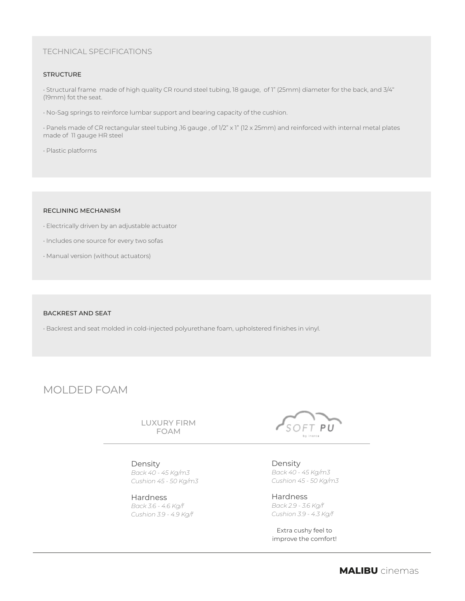# TECHNICAL SPECIFICATIONS

#### **STRUCTURE**

• Structural frame made of high quality CR round steel tubing, 18 gauge, of 1" (25mm) diameter for the back, and 3/4" (19mm) fot the seat.

• No-Sag springs to reinforce lumbar support and bearing capacity of the cushion.

• Panels made of CR rectangular steel tubing ,16 gauge , of 1/2" x 1" (12 x 25mm) and reinforced with internal metal plates made of 11 gauge HR steel

• Plastic platforms

#### RECLINING MECHANISM

- Electrically driven by an adjustable actuator
- Includes one source for every two sofas
- Manual version (without actuators)

#### BACKREST AND SEAT

• Backrest and seat molded in cold-injected polyurethane foam, upholstered finishes in vinyl.

# MOLDED FOAM

LUXURY FIRM FOAM

#### Density

*Back 40 - 45 Kg/m3 Cushion 45 - 50 Kg/m3*

Hardness *Back 3.6 - 4.6 Kg/f Cushion 3.9 - 4.9 Kg/f*



Density *Back 40 - 45 Kg/m3 Cushion 45 - 50 Kg/m3*

Hardness *Back 2.9 - 3.6 Kg/f Cushion 3.9 - 4.3 Kg/f*

Extra cushy feel to improve the comfort!